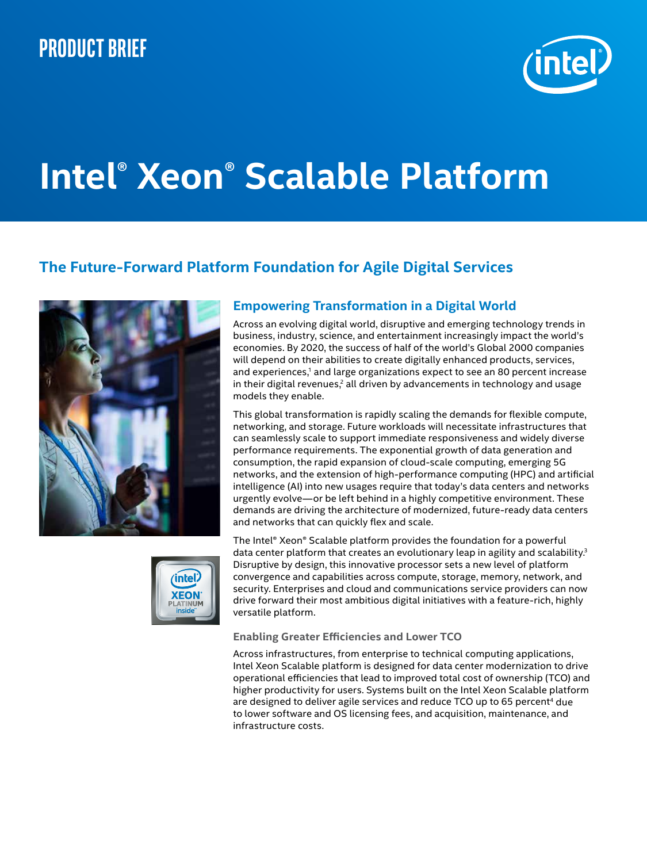## **Product brief**



# **Intel® Xeon® Scalable Platform**

## **The Future-Forward Platform Foundation for Agile Digital Services**





## **Empowering Transformation in a Digital World**

Across an evolving digital world, disruptive and emerging technology trends in business, industry, science, and entertainment increasingly impact the world's economies. By 2020, the success of half of the world's Global 2000 companies will depend on their abilities to create digitally enhanced products, services, and experiences,<sup>1</sup> and large organizations expect to see an 80 percent increase in their digital revenues,<sup>2</sup> all driven by advancements in technology and usage models they enable.

This global transformation is rapidly scaling the demands for flexible compute, networking, and storage. Future workloads will necessitate infrastructures that can seamlessly scale to support immediate responsiveness and widely diverse performance requirements. The exponential growth of data generation and consumption, the rapid expansion of cloud-scale computing, emerging 5G networks, and the extension of high-performance computing (HPC) and artificial intelligence (AI) into new usages require that today's data centers and networks urgently evolve—or be left behind in a highly competitive environment. These demands are driving the architecture of modernized, future-ready data centers and networks that can quickly flex and scale.

The Intel® Xeon® Scalable platform provides the foundation for a powerful data center platform that creates an evolutionary leap in agility and scalability.<sup>3</sup> Disruptive by design, this innovative processor sets a new level of platform convergence and capabilities across compute, storage, memory, network, and security. Enterprises and cloud and communications service providers can now drive forward their most ambitious digital initiatives with a feature-rich, highly versatile platform.

#### **Enabling Greater Efficiencies and Lower TCO**

Across infrastructures, from enterprise to technical computing applications, Intel Xeon Scalable platform is designed for data center modernization to drive operational efficiencies that lead to improved total cost of ownership (TCO) and higher productivity for users. Systems built on the Intel Xeon Scalable platform are designed to deliver agile services and reduce TCO up to 65 percent<sup>4</sup> due to lower software and OS licensing fees, and acquisition, maintenance, and infrastructure costs.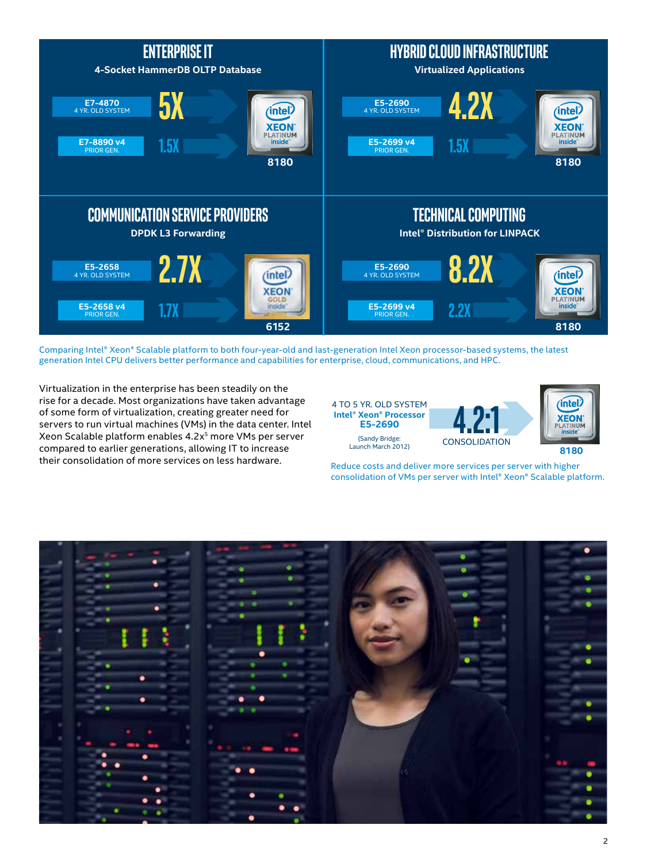

Comparing Intel® Xeon® Scalable platform to both four-year-old and last-generation Intel Xeon processor-based systems, the latest generation Intel CPU delivers better performance and capabilities for enterprise, cloud, communications, and HPC.

Virtualization in the enterprise has been steadily on the rise for a decade. Most organizations have taken advantage of some form of virtualization, creating greater need for servers to run virtual machines (VMs) in the data center. Intel Xeon Scalable platform enables 4.2x5 more VMs per server compared to earlier generations, allowing IT to increase their consolidation of more services on less hardware.



Reduce costs and deliver more services per server with higher consolidation of VMs per server with Intel® Xeon® Scalable platform.

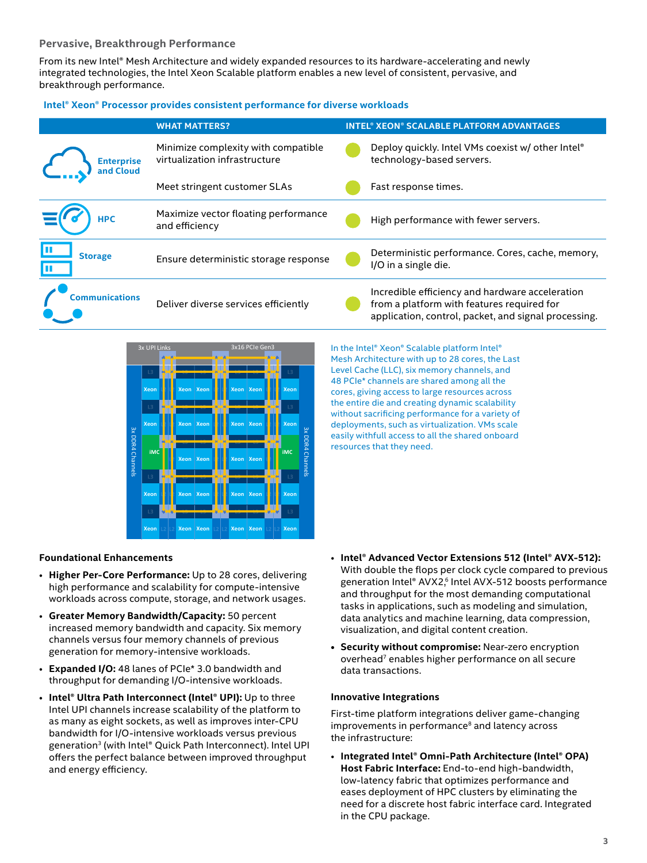#### **Pervasive, Breakthrough Performance**

From its new Intel® Mesh Architecture and widely expanded resources to its hardware-accelerating and newly integrated technologies, the Intel Xeon Scalable platform enables a new level of consistent, pervasive, and breakthrough performance.

#### **Intel® Xeon® Processor provides consistent performance for diverse workloads**

|                                | <b>WHAT MATTERS?</b>                                                 | <b>INTEL® XEON® SCALABLE PLATFORM ADVANTAGES</b>                                                                                                      |
|--------------------------------|----------------------------------------------------------------------|-------------------------------------------------------------------------------------------------------------------------------------------------------|
| <b>Enterprise</b><br>and Cloud | Minimize complexity with compatible<br>virtualization infrastructure | Deploy quickly. Intel VMs coexist w/ other Intel <sup>®</sup><br>technology-based servers.                                                            |
|                                | Meet stringent customer SLAs                                         | Fast response times.                                                                                                                                  |
| <b>HPC</b>                     | Maximize vector floating performance<br>and efficiency               | High performance with fewer servers.                                                                                                                  |
| <b>Storage</b>                 | Ensure deterministic storage response                                | Deterministic performance. Cores, cache, memory,<br>I/O in a single die.                                                                              |
| <b>Communications</b>          | Deliver diverse services efficiently                                 | Incredible efficiency and hardware acceleration<br>from a platform with features required for<br>application, control, packet, and signal processing. |



In the Intel® Xeon® Scalable platform Intel® Mesh Architecture with up to 28 cores, the Last Level Cache (LLC), six memory channels, and 48 PCIe\* channels are shared among all the cores, giving access to large resources across the entire die and creating dynamic scalability without sacrificing performance for a variety of deployments, such as virtualization. VMs scale easily withfull access to all the shared onboard resources that they need.

#### **Foundational Enhancements**

- **Higher Per-Core Performance:** Up to 28 cores, delivering high performance and scalability for compute-intensive workloads across compute, storage, and network usages.
- **Greater Memory Bandwidth/Capacity:** 50 percent increased memory bandwidth and capacity. Six memory channels versus four memory channels of previous generation for memory-intensive workloads.
- **Expanded I/O:** 48 lanes of PCIe\* 3.0 bandwidth and throughput for demanding I/O-intensive workloads.
- **Intel® Ultra Path Interconnect (Intel® UPI):** Up to three Intel UPI channels increase scalability of the platform to as many as eight sockets, as well as improves inter-CPU bandwidth for I/O-intensive workloads versus previous generation3 (with Intel® Quick Path Interconnect). Intel UPI offers the perfect balance between improved throughput and energy efficiency.
- **Intel® Advanced Vector Extensions 512 (Intel® AVX-512):** With double the flops per clock cycle compared to previous generation Intel® AVX2,<sup>6</sup> Intel AVX-512 boosts performance and throughput for the most demanding computational tasks in applications, such as modeling and simulation, data analytics and machine learning, data compression, visualization, and digital content creation.
- **• Security without compromise:** Near-zero encryption overhead<sup>7</sup> enables higher performance on all secure data transactions.

#### **Innovative Integrations**

First-time platform integrations deliver game-changing improvements in performance<sup>8</sup> and latency across the infrastructure:

• **Integrated Intel® Omni-Path Architecture (Intel® OPA) Host Fabric Interface:** End-to-end high-bandwidth, low-latency fabric that optimizes performance and eases deployment of HPC clusters by eliminating the need for a discrete host fabric interface card. Integrated in the CPU package.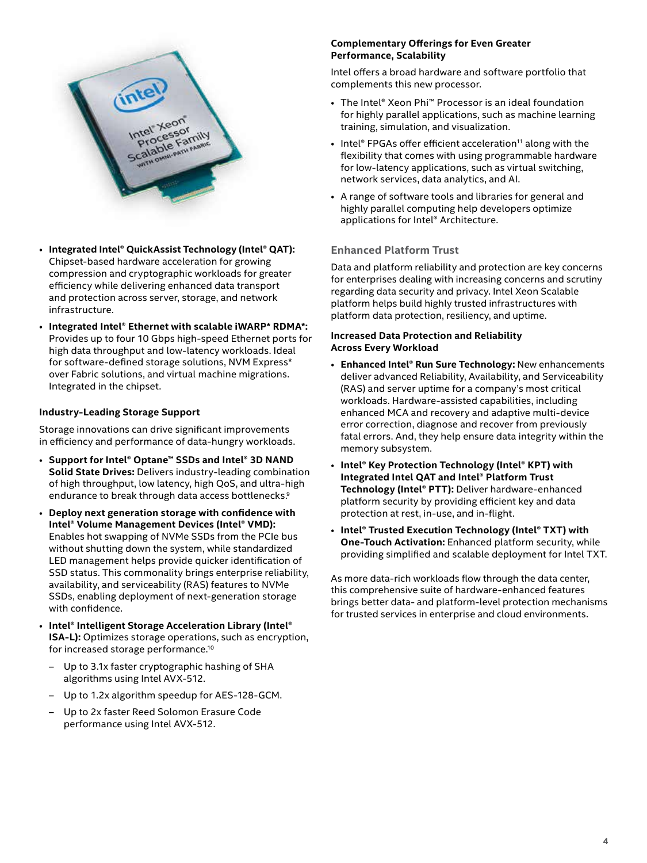

- **Integrated Intel® QuickAssist Technology (Intel® QAT):** Chipset-based hardware acceleration for growing compression and cryptographic workloads for greater efficiency while delivering enhanced data transport and protection across server, storage, and network infrastructure.
- **Integrated Intel® Ethernet with scalable iWARP\* RDMA\*:** Provides up to four 10 Gbps high-speed Ethernet ports for high data throughput and low-latency workloads. Ideal for software-defined storage solutions, NVM Express\* over Fabric solutions, and virtual machine migrations. Integrated in the chipset.

#### **Industry-Leading Storage Support**

Storage innovations can drive significant improvements in efficiency and performance of data-hungry workloads.

- **Support for Intel® Optane™ SSDs and Intel® 3D NAND Solid State Drives:** Delivers industry-leading combination of high throughput, low latency, high QoS, and ultra-high endurance to break through data access bottlenecks.<sup>9</sup>
- **Deploy next generation storage with confidence with Intel® Volume Management Devices (Intel® VMD):** Enables hot swapping of NVMe SSDs from the PCIe bus without shutting down the system, while standardized LED management helps provide quicker identification of SSD status. This commonality brings enterprise reliability, availability, and serviceability (RAS) features to NVMe SSDs, enabling deployment of next-generation storage with confidence.
- **Intel® Intelligent Storage Acceleration Library (Intel® ISA-L):** Optimizes storage operations, such as encryption, for increased storage performance.10
	- Up to 3.1x faster cryptographic hashing of SHA algorithms using Intel AVX-512.
	- Up to 1.2x algorithm speedup for AES-128-GCM.
	- Up to 2x faster Reed Solomon Erasure Code performance using Intel AVX-512.

#### **Complementary Offerings for Even Greater Performance, Scalability**

Intel offers a broad hardware and software portfolio that complements this new processor.

- The Intel® Xeon Phi™ Processor is an ideal foundation for highly parallel applications, such as machine learning training, simulation, and visualization.
- Intel<sup>®</sup> FPGAs offer efficient acceleration<sup>11</sup> along with the flexibility that comes with using programmable hardware for low-latency applications, such as virtual switching, network services, data analytics, and AI.
- A range of software tools and libraries for general and highly parallel computing help developers optimize applications for Intel® Architecture.

#### **Enhanced Platform Trust**

Data and platform reliability and protection are key concerns for enterprises dealing with increasing concerns and scrutiny regarding data security and privacy. Intel Xeon Scalable platform helps build highly trusted infrastructures with platform data protection, resiliency, and uptime.

#### **Increased Data Protection and Reliability Across Every Workload**

- **Enhanced Intel® Run Sure Technology:** New enhancements deliver advanced Reliability, Availability, and Serviceability (RAS) and server uptime for a company's most critical workloads. Hardware-assisted capabilities, including enhanced MCA and recovery and adaptive multi-device error correction, diagnose and recover from previously fatal errors. And, they help ensure data integrity within the memory subsystem.
- **Intel® Key Protection Technology (Intel® KPT) with Integrated Intel QAT and Intel® Platform Trust Technology (Intel® PTT):** Deliver hardware-enhanced platform security by providing efficient key and data protection at rest, in-use, and in-flight.
- **Intel® Trusted Execution Technology (Intel® TXT) with One-Touch Activation:** Enhanced platform security, while providing simplified and scalable deployment for Intel TXT.

As more data-rich workloads flow through the data center, this comprehensive suite of hardware-enhanced features brings better data- and platform-level protection mechanisms for trusted services in enterprise and cloud environments.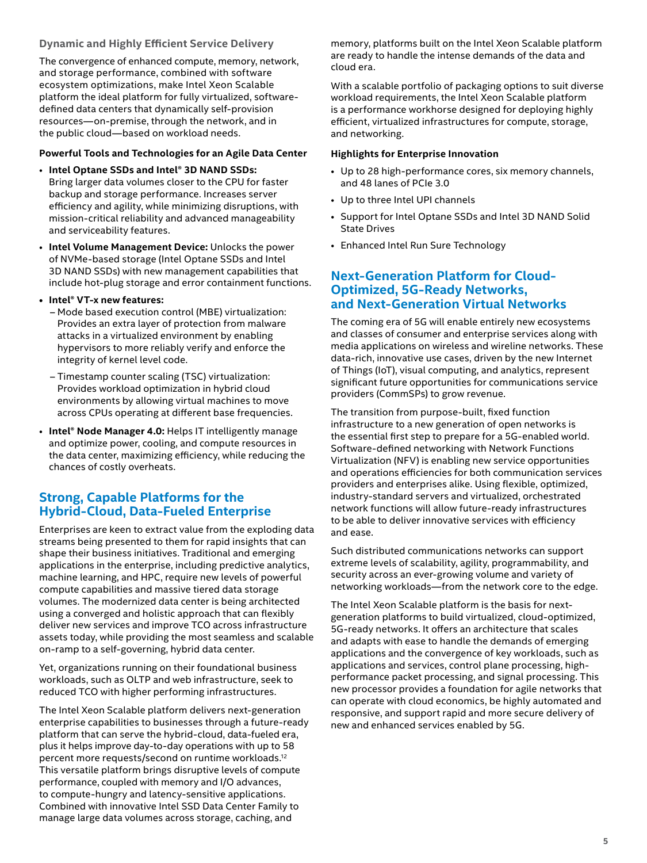#### **Dynamic and Highly Efficient Service Delivery**

The convergence of enhanced compute, memory, network, and storage performance, combined with software ecosystem optimizations, make Intel Xeon Scalable platform the ideal platform for fully virtualized, softwaredefined data centers that dynamically self-provision resources—on-premise, through the network, and in the public cloud—based on workload needs.

#### **Powerful Tools and Technologies for an Agile Data Center**

- **Intel Optane SSDs and Intel® 3D NAND SSDs:** Bring larger data volumes closer to the CPU for faster backup and storage performance. Increases server efficiency and agility, while minimizing disruptions, with mission-critical reliability and advanced manageability and serviceability features.
- **Intel Volume Management Device:** Unlocks the power of NVMe-based storage (Intel Optane SSDs and Intel 3D NAND SSDs) with new management capabilities that include hot-plug storage and error containment functions.
- **• Intel® VT-x new features:**
	- Mode based execution control (MBE) virtualization: Provides an extra layer of protection from malware attacks in a virtualized environment by enabling hypervisors to more reliably verify and enforce the integrity of kernel level code.
	- Timestamp counter scaling (TSC) virtualization: Provides workload optimization in hybrid cloud environments by allowing virtual machines to move across CPUs operating at different base frequencies.
- **Intel® Node Manager 4.0:** Helps IT intelligently manage and optimize power, cooling, and compute resources in the data center, maximizing efficiency, while reducing the chances of costly overheats.

## **Strong, Capable Platforms for the Hybrid-Cloud, Data-Fueled Enterprise**

Enterprises are keen to extract value from the exploding data streams being presented to them for rapid insights that can shape their business initiatives. Traditional and emerging applications in the enterprise, including predictive analytics, machine learning, and HPC, require new levels of powerful compute capabilities and massive tiered data storage volumes. The modernized data center is being architected using a converged and holistic approach that can flexibly deliver new services and improve TCO across infrastructure assets today, while providing the most seamless and scalable on-ramp to a self-governing, hybrid data center.

Yet, organizations running on their foundational business workloads, such as OLTP and web infrastructure, seek to reduced TCO with higher performing infrastructures.

The Intel Xeon Scalable platform delivers next-generation enterprise capabilities to businesses through a future-ready platform that can serve the hybrid-cloud, data-fueled era, plus it helps improve day-to-day operations with up to 58 percent more requests/second on runtime workloads.12 This versatile platform brings disruptive levels of compute performance, coupled with memory and I/O advances, to compute-hungry and latency-sensitive applications. Combined with innovative Intel SSD Data Center Family to manage large data volumes across storage, caching, and

memory, platforms built on the Intel Xeon Scalable platform are ready to handle the intense demands of the data and cloud era.

With a scalable portfolio of packaging options to suit diverse workload requirements, the Intel Xeon Scalable platform is a performance workhorse designed for deploying highly efficient, virtualized infrastructures for compute, storage, and networking.

#### **Highlights for Enterprise Innovation**

- Up to 28 high-performance cores, six memory channels, and 48 lanes of PCIe 3.0
- Up to three Intel UPI channels
- Support for Intel Optane SSDs and Intel 3D NAND Solid State Drives
- Enhanced Intel Run Sure Technology

#### **Next-Generation Platform for Cloud-Optimized, 5G-Ready Networks, and Next-Generation Virtual Networks**

The coming era of 5G will enable entirely new ecosystems and classes of consumer and enterprise services along with media applications on wireless and wireline networks. These data-rich, innovative use cases, driven by the new Internet of Things (IoT), visual computing, and analytics, represent significant future opportunities for communications service providers (CommSPs) to grow revenue.

The transition from purpose-built, fixed function infrastructure to a new generation of open networks is the essential first step to prepare for a 5G-enabled world. Software-defined networking with Network Functions Virtualization (NFV) is enabling new service opportunities and operations efficiencies for both communication services providers and enterprises alike. Using flexible, optimized, industry-standard servers and virtualized, orchestrated network functions will allow future-ready infrastructures to be able to deliver innovative services with efficiency and ease.

Such distributed communications networks can support extreme levels of scalability, agility, programmability, and security across an ever-growing volume and variety of networking workloads—from the network core to the edge.

The Intel Xeon Scalable platform is the basis for nextgeneration platforms to build virtualized, cloud-optimized, 5G-ready networks. It offers an architecture that scales and adapts with ease to handle the demands of emerging applications and the convergence of key workloads, such as applications and services, control plane processing, highperformance packet processing, and signal processing. This new processor provides a foundation for agile networks that can operate with cloud economics, be highly automated and responsive, and support rapid and more secure delivery of new and enhanced services enabled by 5G.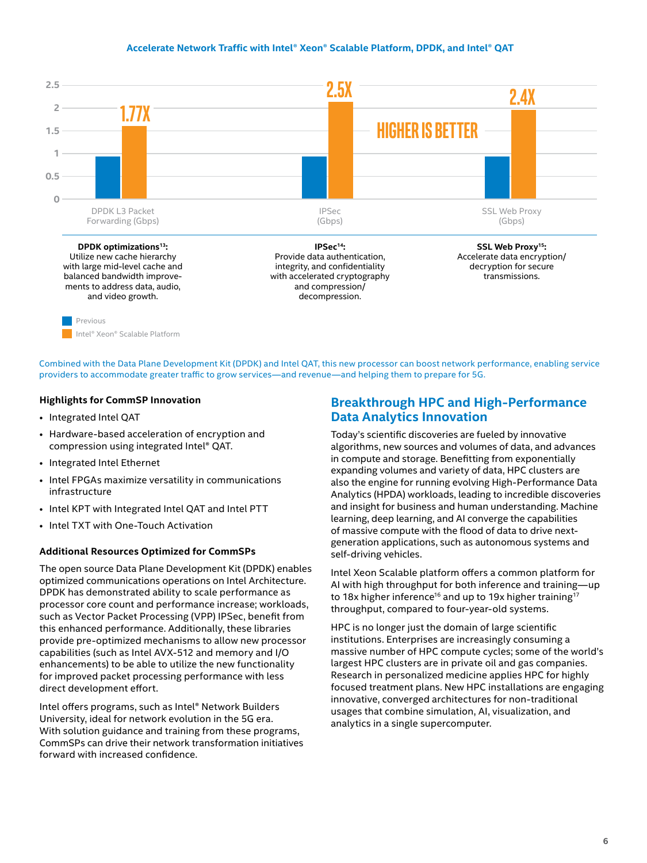#### **Accelerate Network Traffic with Intel® Xeon® Scalable Platform, DPDK, and Intel® QAT**



Combined with the Data Plane Development Kit (DPDK) and Intel QAT, this new processor can boost network performance, enabling service providers to accommodate greater traffic to grow services—and revenue—and helping them to prepare for 5G.

#### **Highlights for CommSP Innovation**

- Integrated Intel QAT
- Hardware-based acceleration of encryption and compression using integrated Intel® QAT.
- Integrated Intel Ethernet
- Intel FPGAs maximize versatility in communications infrastructure
- Intel KPT with Integrated Intel QAT and Intel PTT
- Intel TXT with One-Touch Activation

#### **Additional Resources Optimized for CommSPs**

The open source Data Plane Development Kit (DPDK) enables optimized communications operations on Intel Architecture. DPDK has demonstrated ability to scale performance as processor core count and performance increase; workloads, such as Vector Packet Processing (VPP) IPSec, benefit from this enhanced performance. Additionally, these libraries provide pre-optimized mechanisms to allow new processor capabilities (such as Intel AVX-512 and memory and I/O enhancements) to be able to utilize the new functionality for improved packet processing performance with less direct development effort.

Intel offers programs, such as Intel® Network Builders University, ideal for network evolution in the 5G era. With solution guidance and training from these programs, CommSPs can drive their network transformation initiatives forward with increased confidence.

#### **Breakthrough HPC and High-Performance Data Analytics Innovation**

Today's scientific discoveries are fueled by innovative algorithms, new sources and volumes of data, and advances in compute and storage. Benefitting from exponentially expanding volumes and variety of data, HPC clusters are also the engine for running evolving High-Performance Data Analytics (HPDA) workloads, leading to incredible discoveries and insight for business and human understanding. Machine learning, deep learning, and AI converge the capabilities of massive compute with the flood of data to drive nextgeneration applications, such as autonomous systems and self-driving vehicles.

Intel Xeon Scalable platform offers a common platform for AI with high throughput for both inference and training—up to 18x higher inference<sup>16</sup> and up to 19x higher training<sup>17</sup> throughput, compared to four-year-old systems.

HPC is no longer just the domain of large scientific institutions. Enterprises are increasingly consuming a massive number of HPC compute cycles; some of the world's largest HPC clusters are in private oil and gas companies. Research in personalized medicine applies HPC for highly focused treatment plans. New HPC installations are engaging innovative, converged architectures for non-traditional usages that combine simulation, AI, visualization, and analytics in a single supercomputer.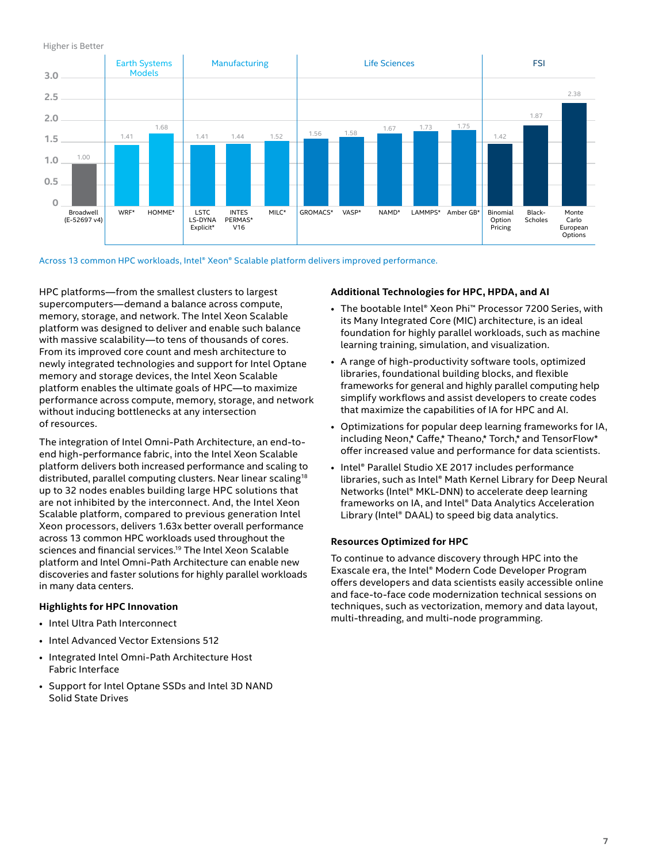

**Intel® Xeon® Gold 6148 processor** Across 13 common HPC workloads, Intel® Xeon® Scalable platform delivers improved performance.

HPC platforms—from the smallest clusters to largest supercomputers—demand a balance across compute, memory, storage, and network. The Intel Xeon Scalable platform was designed to deliver and enable such balance with massive scalability—to tens of thousands of cores. From its improved core count and mesh architecture to newly integrated technologies and support for Intel Optane memory and storage devices, the Intel Xeon Scalable platform enables the ultimate goals of HPC—to maximize performance across compute, memory, storage, and network without inducing bottlenecks at any intersection of resources.

The integration of Intel Omni-Path Architecture, an end-toend high-performance fabric, into the Intel Xeon Scalable platform delivers both increased performance and scaling to distributed, parallel computing clusters. Near linear scaling<sup>18</sup> up to 32 nodes enables building large HPC solutions that are not inhibited by the interconnect. And, the Intel Xeon Scalable platform, compared to previous generation Intel Xeon processors, delivers 1.63x better overall performance across 13 common HPC workloads used throughout the sciences and financial services.19 The Intel Xeon Scalable platform and Intel Omni-Path Architecture can enable new discoveries and faster solutions for highly parallel workloads in many data centers.

#### **Highlights for HPC Innovation**

- Intel Ultra Path Interconnect
- Intel Advanced Vector Extensions 512
- Integrated Intel Omni-Path Architecture Host Fabric Interface
- Support for Intel Optane SSDs and Intel 3D NAND Solid State Drives

#### **Additional Technologies for HPC, HPDA, and AI**

- The bootable Intel® Xeon Phi™ Processor 7200 Series, with its Many Integrated Core (MIC) architecture, is an ideal foundation for highly parallel workloads, such as machine learning training, simulation, and visualization.
- A range of high-productivity software tools, optimized libraries, foundational building blocks, and flexible frameworks for general and highly parallel computing help simplify workflows and assist developers to create codes that maximize the capabilities of IA for HPC and AI.
- Optimizations for popular deep learning frameworks for IA, including Neon,\* Caffe,\* Theano,\* Torch,\* and TensorFlow\* offer increased value and performance for data scientists.
- Intel® Parallel Studio XE 2017 includes performance libraries, such as Intel® Math Kernel Library for Deep Neural Networks (Intel® MKL-DNN) to accelerate deep learning frameworks on IA, and Intel® Data Analytics Acceleration Library (Intel® DAAL) to speed big data analytics.

#### **Resources Optimized for HPC**

To continue to advance discovery through HPC into the Exascale era, the Intel® Modern Code Developer Program offers developers and data scientists easily accessible online and face-to-face code modernization technical sessions on techniques, such as vectorization, memory and data layout, multi-threading, and multi-node programming.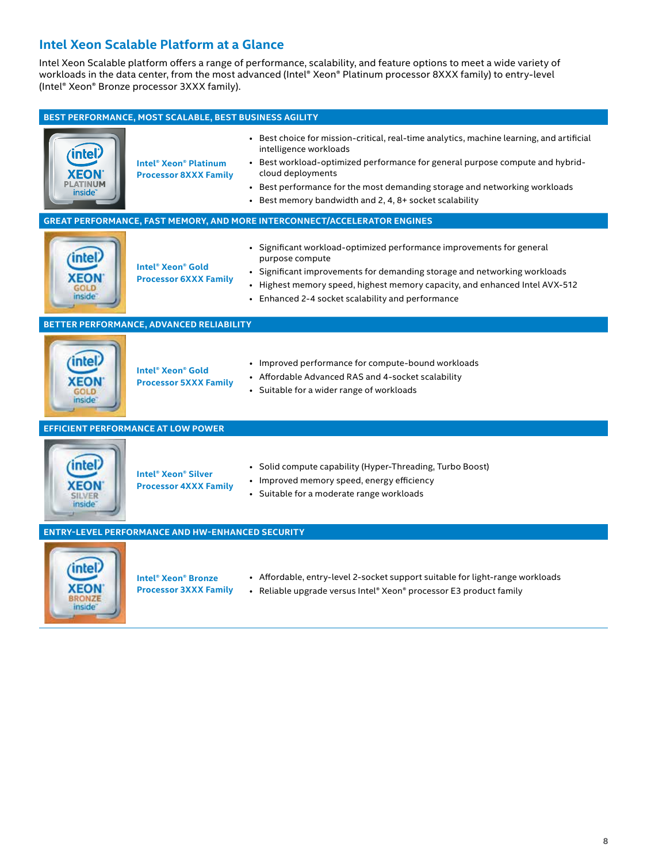## **Intel Xeon Scalable Platform at a Glance**

Intel Xeon Scalable platform offers a range of performance, scalability, and feature options to meet a wide variety of workloads in the data center, from the most advanced (Intel® Xeon® Platinum processor 8XXX family) to entry-level (Intel® Xeon® Bronze processor 3XXX family).

| BEST PERFORMANCE, MOST SCALABLE, BEST BUSINESS AGILITY |                                                                                    |                                                                                                                                                                                                                                                                                                                                                                    |  |  |
|--------------------------------------------------------|------------------------------------------------------------------------------------|--------------------------------------------------------------------------------------------------------------------------------------------------------------------------------------------------------------------------------------------------------------------------------------------------------------------------------------------------------------------|--|--|
| <b>intel</b><br><b>XEON</b><br>PLATINUM<br>inside"     | <b>Intel<sup>®</sup> Xeon<sup>®</sup> Platinum</b><br><b>Processor 8XXX Family</b> | • Best choice for mission-critical, real-time analytics, machine learning, and artificial<br>intelligence workloads<br>• Best workload-optimized performance for general purpose compute and hybrid-<br>cloud deployments<br>• Best performance for the most demanding storage and networking workloads<br>• Best memory bandwidth and 2, 4, 8+ socket scalability |  |  |
|                                                        |                                                                                    | <b>GREAT PERFORMANCE, FAST MEMORY, AND MORE INTERCONNECT/ACCELERATOR ENGINES</b>                                                                                                                                                                                                                                                                                   |  |  |
| inside                                                 | Intel <sup>®</sup> Xeon <sup>®</sup> Gold<br><b>Processor 6XXX Family</b>          | • Significant workload-optimized performance improvements for general<br>purpose compute<br>• Significant improvements for demanding storage and networking workloads<br>• Highest memory speed, highest memory capacity, and enhanced Intel AVX-512<br>• Enhanced 2-4 socket scalability and performance                                                          |  |  |
|                                                        | BETTER PERFORMANCE, ADVANCED RELIABILITY                                           |                                                                                                                                                                                                                                                                                                                                                                    |  |  |
| intel<br><b>KEON</b><br>nside                          | Intel <sup>®</sup> Xeon <sup>®</sup> Gold<br><b>Processor 5XXX Family</b>          | • Improved performance for compute-bound workloads<br>• Affordable Advanced RAS and 4-socket scalability<br>• Suitable for a wider range of workloads                                                                                                                                                                                                              |  |  |
|                                                        | <b>EFFICIENT PERFORMANCE AT LOW POWER</b>                                          |                                                                                                                                                                                                                                                                                                                                                                    |  |  |
| intel<br>inside                                        | <b>Intel<sup>®</sup> Xeon<sup>®</sup> Silver</b><br><b>Processor 4XXX Family</b>   | • Solid compute capability (Hyper-Threading, Turbo Boost)<br>• Improved memory speed, energy efficiency<br>• Suitable for a moderate range workloads                                                                                                                                                                                                               |  |  |
|                                                        | <b>ENTRY-LEVEL PERFORMANCE AND HW-ENHANCED SECURITY</b>                            |                                                                                                                                                                                                                                                                                                                                                                    |  |  |
| intel<br>inside                                        | <b>Intel<sup>®</sup> Xeon<sup>®</sup> Bronze</b><br><b>Processor 3XXX Family</b>   | • Affordable, entry-level 2-socket support suitable for light-range workloads<br>• Reliable upgrade versus Intel® Xeon® processor E3 product family                                                                                                                                                                                                                |  |  |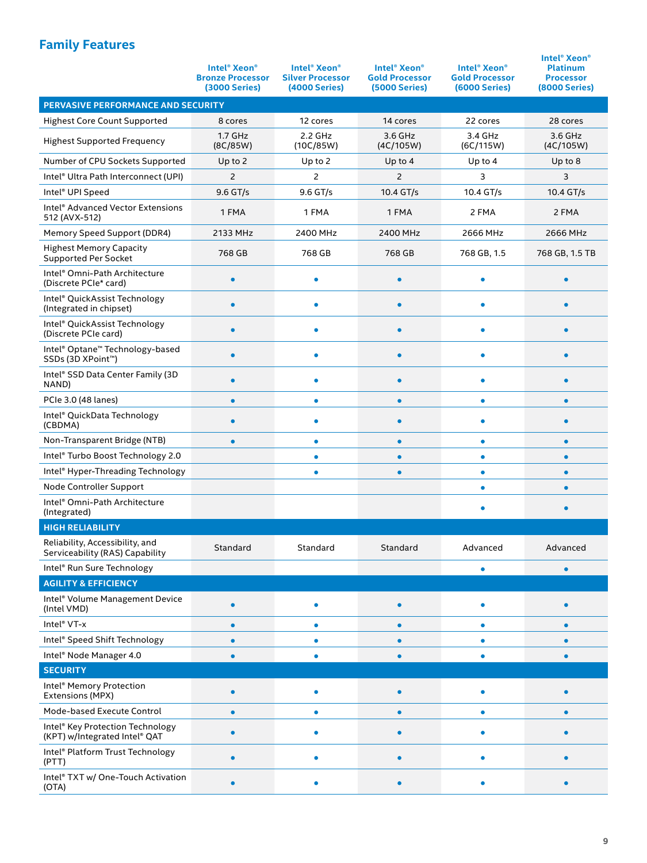## **Family Features**

|                                                                    | <b>Intel<sup>®</sup> Xeon<sup>®</sup></b><br><b>Bronze Processor</b><br>(3000 Series) | <b>Intel<sup>®</sup> Xeon<sup>®</sup></b><br><b>Silver Processor</b><br>(4000 Series) | <b>Intel<sup>®</sup> Xeon<sup>®</sup></b><br><b>Gold Processor</b><br><b>(5000 Series)</b> | <b>Intel<sup>®</sup> Xeon<sup>®</sup></b><br><b>Gold Processor</b><br><b>(6000 Series)</b> | <b>Intel<sup>®</sup> Xeon<sup>®</sup></b><br><b>Platinum</b><br><b>Processor</b><br><b>(8000 Series)</b> |  |  |
|--------------------------------------------------------------------|---------------------------------------------------------------------------------------|---------------------------------------------------------------------------------------|--------------------------------------------------------------------------------------------|--------------------------------------------------------------------------------------------|----------------------------------------------------------------------------------------------------------|--|--|
| PERVASIVE PERFORMANCE AND SECURITY                                 |                                                                                       |                                                                                       |                                                                                            |                                                                                            |                                                                                                          |  |  |
| <b>Highest Core Count Supported</b>                                | 8 cores                                                                               | 12 cores                                                                              | 14 cores                                                                                   | 22 cores                                                                                   | 28 cores                                                                                                 |  |  |
| <b>Highest Supported Frequency</b>                                 | $1.7$ GHz<br>(8C/85W)                                                                 | 2.2 GHz<br>(10C/85W)                                                                  | 3.6 GHz<br>(4C/105W)                                                                       | $3.4$ GHz<br>(6C/115W)                                                                     | 3.6 GHz<br>(4C/105W)                                                                                     |  |  |
| Number of CPU Sockets Supported                                    | Up to $2$                                                                             | Up to $2$                                                                             | Up to $4$                                                                                  | Up to $4$                                                                                  | Up to $8$                                                                                                |  |  |
| Intel® Ultra Path Interconnect (UPI)                               | $\overline{c}$                                                                        | 2                                                                                     | 2                                                                                          | 3                                                                                          | 3                                                                                                        |  |  |
| Intel <sup>®</sup> UPI Speed                                       | 9.6 GT/s                                                                              | 9.6 GT/s                                                                              | 10.4 GT/s                                                                                  | 10.4 GT/s                                                                                  | 10.4 GT/s                                                                                                |  |  |
| Intel <sup>®</sup> Advanced Vector Extensions<br>512 (AVX-512)     | 1 FMA                                                                                 | 1 FMA                                                                                 | 1 FMA                                                                                      | 2 FMA                                                                                      | 2 FMA                                                                                                    |  |  |
| Memory Speed Support (DDR4)                                        | 2133 MHz                                                                              | 2400 MHz                                                                              | 2400 MHz                                                                                   | 2666 MHz                                                                                   | 2666 MHz                                                                                                 |  |  |
| <b>Highest Memory Capacity</b><br><b>Supported Per Socket</b>      | 768 GB                                                                                | 768 GB                                                                                | 768 GB                                                                                     | 768 GB, 1.5                                                                                | 768 GB, 1.5 TB                                                                                           |  |  |
| Intel® Omni-Path Architecture<br>(Discrete PCIe* card)             | ٠                                                                                     | ۰                                                                                     | ٠                                                                                          | ۰                                                                                          |                                                                                                          |  |  |
| Intel® QuickAssist Technology<br>(Integrated in chipset)           | ٠                                                                                     | ۰                                                                                     | $\bullet$                                                                                  | ۰                                                                                          |                                                                                                          |  |  |
| Intel® QuickAssist Technology<br>(Discrete PCIe card)              | $\bullet$                                                                             | ۰                                                                                     | ٠                                                                                          | ٠                                                                                          | ٠                                                                                                        |  |  |
| Intel® Optane™ Technology-based<br>SSDs (3D XPoint™)               |                                                                                       | $\bullet$                                                                             |                                                                                            |                                                                                            |                                                                                                          |  |  |
| Intel® SSD Data Center Family (3D<br>NAND)                         | $\bullet$                                                                             | ۰                                                                                     |                                                                                            | ٠                                                                                          |                                                                                                          |  |  |
| PCIe 3.0 (48 lanes)                                                | $\bullet$                                                                             | $\bullet$                                                                             | $\bullet$                                                                                  | $\bullet$                                                                                  |                                                                                                          |  |  |
| Intel® QuickData Technology<br>(CBDMA)                             |                                                                                       | ۰                                                                                     |                                                                                            | ۰                                                                                          |                                                                                                          |  |  |
| Non-Transparent Bridge (NTB)                                       | $\bullet$                                                                             | $\bullet$                                                                             | $\bullet$                                                                                  | $\bullet$                                                                                  |                                                                                                          |  |  |
| Intel® Turbo Boost Technology 2.0                                  |                                                                                       | ۰                                                                                     | ٠                                                                                          | $\bullet$                                                                                  | ٠                                                                                                        |  |  |
| Intel® Hyper-Threading Technology                                  |                                                                                       | ۰                                                                                     | $\bullet$                                                                                  | ۰                                                                                          | $\bullet$                                                                                                |  |  |
| Node Controller Support                                            |                                                                                       |                                                                                       |                                                                                            | $\bullet$                                                                                  | ٠                                                                                                        |  |  |
| Intel® Omni-Path Architecture<br>(Integrated)                      |                                                                                       |                                                                                       |                                                                                            |                                                                                            | $\bullet$                                                                                                |  |  |
| <b>HIGH RELIABILITY</b>                                            |                                                                                       |                                                                                       |                                                                                            |                                                                                            |                                                                                                          |  |  |
| Reliability, Accessibility, and<br>Serviceability (RAS) Capability | Standard                                                                              | Standard                                                                              | Standard                                                                                   | Advanced                                                                                   | Advanced                                                                                                 |  |  |
| Intel® Run Sure Technology                                         |                                                                                       |                                                                                       |                                                                                            | ٠                                                                                          | $\bullet$                                                                                                |  |  |
| <b>AGILITY &amp; EFFICIENCY</b>                                    |                                                                                       |                                                                                       |                                                                                            |                                                                                            |                                                                                                          |  |  |
| Intel <sup>®</sup> Volume Management Device<br>(Intel VMD)         |                                                                                       | ۰                                                                                     | $\bullet$                                                                                  |                                                                                            |                                                                                                          |  |  |
| Intel <sup>®</sup> VT-x                                            |                                                                                       | ۰                                                                                     |                                                                                            | ٠                                                                                          |                                                                                                          |  |  |
| Intel® Speed Shift Technology                                      | ٠                                                                                     | ٠                                                                                     | ٠                                                                                          | ٠                                                                                          |                                                                                                          |  |  |
| Intel® Node Manager 4.0                                            | $\bullet$                                                                             | ۰                                                                                     | $\bullet$                                                                                  |                                                                                            | $\bullet$                                                                                                |  |  |
| <b>SECURITY</b>                                                    |                                                                                       |                                                                                       |                                                                                            |                                                                                            |                                                                                                          |  |  |
| Intel <sup>®</sup> Memory Protection<br>Extensions (MPX)           |                                                                                       |                                                                                       |                                                                                            |                                                                                            |                                                                                                          |  |  |
| Mode-based Execute Control                                         |                                                                                       | ٠                                                                                     |                                                                                            |                                                                                            |                                                                                                          |  |  |
| Intel® Key Protection Technology<br>(KPT) w/Integrated Intel® QAT  |                                                                                       | ۰                                                                                     | $\bullet$                                                                                  |                                                                                            |                                                                                                          |  |  |
| Intel <sup>®</sup> Platform Trust Technology<br>(PTT)              |                                                                                       | ٠                                                                                     |                                                                                            |                                                                                            |                                                                                                          |  |  |
| Intel® TXT w/ One-Touch Activation<br>(OTA)                        |                                                                                       |                                                                                       |                                                                                            |                                                                                            |                                                                                                          |  |  |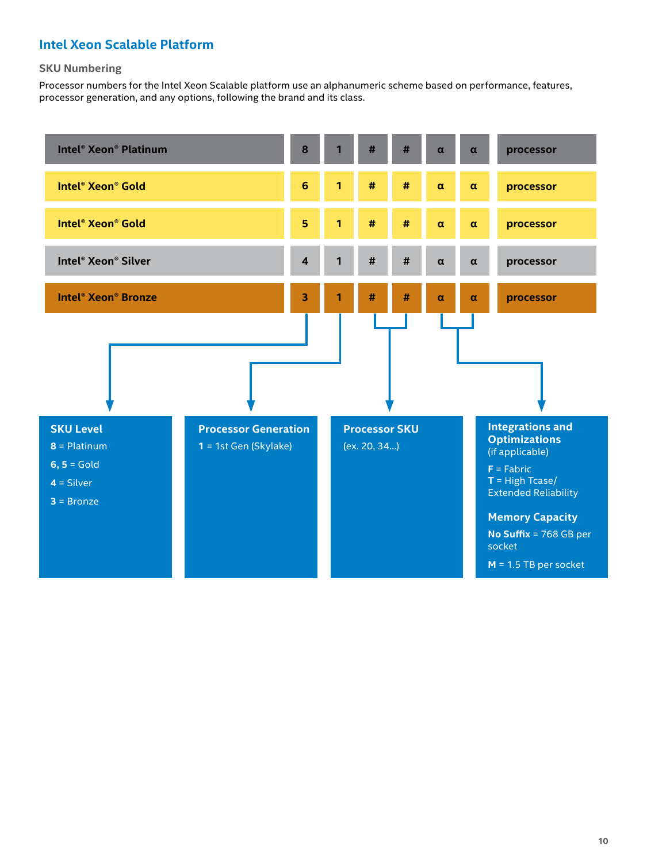## **Intel Xeon Scalable Platform**

#### **SKU Numbering**

Processor numbers for the Intel Xeon Scalable platform use an alphanumeric scheme based on performance, features, processor generation, and any options, following the brand and its class.

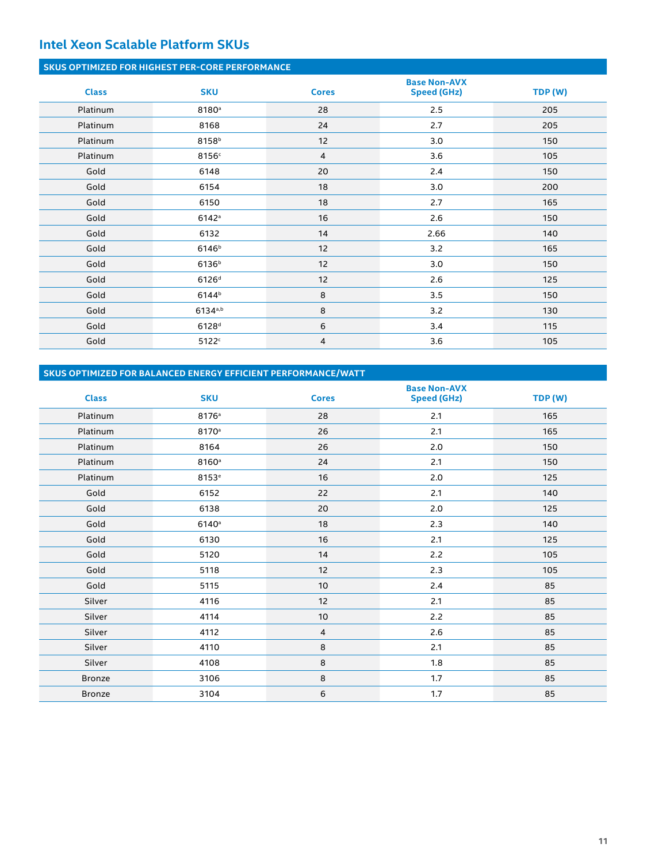## **Intel Xeon Scalable Platform SKUs**

#### **SKUS OPTIMIZED FOR HIGHEST PER-CORE PERFORMANCE**

| <b>Class</b> | <b>SKU</b>        | <b>Cores</b>   | <b>Base Non-AVX</b><br><b>Speed (GHz)</b> | TDP (W) |
|--------------|-------------------|----------------|-------------------------------------------|---------|
| Platinum     | 8180 <sup>a</sup> | 28             | 2.5                                       | 205     |
| Platinum     | 8168              | 24             | 2.7                                       | 205     |
| Platinum     | 8158 <sup>b</sup> | 12             | 3.0                                       | 150     |
| Platinum     | 8156c             | $\overline{4}$ | 3.6                                       | 105     |
| Gold         | 6148              | 20             | 2.4                                       | 150     |
| Gold         | 6154              | 18             | 3.0                                       | 200     |
| Gold         | 6150              | 18             | 2.7                                       | 165     |
| Gold         | 6142a             | 16             | 2.6                                       | 150     |
| Gold         | 6132              | 14             | 2.66                                      | 140     |
| Gold         | 6146 <sup>b</sup> | 12             | 3.2                                       | 165     |
| Gold         | 6136 <sup>b</sup> | 12             | 3.0                                       | 150     |
| Gold         | 6126 <sup>d</sup> | 12             | 2.6                                       | 125     |
| Gold         | 6144 <sup>b</sup> | 8              | 3.5                                       | 150     |
| Gold         | $6134^{a,b}$      | 8              | 3.2                                       | 130     |
| Gold         | 6128 <sup>d</sup> | 6              | 3.4                                       | 115     |
| Gold         | 5122c             | 4              | 3.6                                       | 105     |

#### **SKUS OPTIMIZED FOR BALANCED ENERGY EFFICIENT PERFORMANCE/WATT**

| <b>Class</b>  | <b>SKU</b>        | <b>Cores</b> | <b>Base Non-AVX</b><br><b>Speed (GHz)</b> | TDP (W) |
|---------------|-------------------|--------------|-------------------------------------------|---------|
| Platinum      | 8176 <sup>a</sup> | 28           | 2.1                                       | 165     |
| Platinum      | 8170 <sup>a</sup> | 26           | 2.1                                       | 165     |
| Platinum      | 8164              | 26           | 2.0                                       | 150     |
| Platinum      | 8160 <sup>a</sup> | 24           | 2.1                                       | 150     |
| Platinum      | 8153 <sup>e</sup> | 16           | 2.0                                       | 125     |
| Gold          | 6152              | 22           | 2.1                                       | 140     |
| Gold          | 6138              | 20           | 2.0                                       | 125     |
| Gold          | 6140a             | 18           | 2.3                                       | 140     |
| Gold          | 6130              | 16           | 2.1                                       | 125     |
| Gold          | 5120              | 14           | 2.2                                       | 105     |
| Gold          | 5118              | 12           | 2.3                                       | 105     |
| Gold          | 5115              | 10           | 2.4                                       | 85      |
| Silver        | 4116              | 12           | 2.1                                       | 85      |
| Silver        | 4114              | 10           | 2.2                                       | 85      |
| Silver        | 4112              | 4            | 2.6                                       | 85      |
| Silver        | 4110              | $\,$ 8       | 2.1                                       | 85      |
| Silver        | 4108              | 8            | 1.8                                       | 85      |
| <b>Bronze</b> | 3106              | 8            | 1.7                                       | 85      |
| <b>Bronze</b> | 3104              | 6            | 1.7                                       | 85      |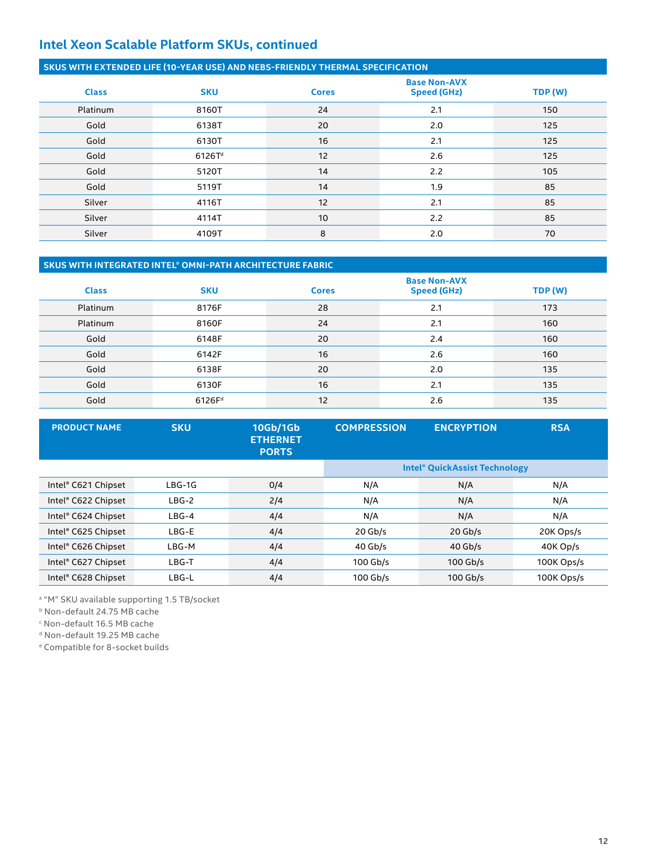## **Intel Xeon Scalable Platform SKUs, continued**

#### **SKUS WITH EXTENDED LIFE (10-YEAR USE) AND NEBS-FRIENDLY THERMAL SPECIFICATION**

| <b>Class</b> | <b>SKU</b>         | <b>Cores</b> | <b>Base Non-AVX</b><br><b>Speed (GHz)</b> | TDP (W) |
|--------------|--------------------|--------------|-------------------------------------------|---------|
| Platinum     | 8160T              | 24           | 2.1                                       | 150     |
| Gold         | 6138T              | 20           | 2.0                                       | 125     |
| Gold         | 6130T              | 16           | 2.1                                       | 125     |
| Gold         | 6126T <sup>d</sup> | 12           | 2.6                                       | 125     |
| Gold         | 5120T              | 14           | 2.2                                       | 105     |
| Gold         | 5119T              | 14           | 1.9                                       | 85      |
| Silver       | 4116T              | 12           | 2.1                                       | 85      |
| Silver       | 4114T              | 10           | 2.2                                       | 85      |
| Silver       | 4109T              | 8            | 2.0                                       | 70      |

#### **SKUS WITH INTEGRATED INTEL® OMNI-PATH ARCHITECTURE FABRIC**

| <b>Class</b> | <b>SKU</b>         | <b>Cores</b> | <b>Base Non-AVX</b><br><b>Speed (GHz)</b> | TDP (W) |
|--------------|--------------------|--------------|-------------------------------------------|---------|
| Platinum     | 8176F              | 28           | 2.1                                       | 173     |
| Platinum     | 8160F              | 24           | 2.1                                       | 160     |
| Gold         | 6148F              | 20           | 2.4                                       | 160     |
| Gold         | 6142F              | 16           | 2.6                                       | 160     |
| Gold         | 6138F              | 20           | 2.0                                       | 135     |
| Gold         | 6130F              | 16           | 2.1                                       | 135     |
| Gold         | 6126F <sup>d</sup> | 12           | 2.6                                       | 135     |

| <b>PRODUCT NAME</b> | <b>SKU</b> | 10Gb/1Gb<br><b>ETHERNET</b><br><b>PORTS</b> | <b>COMPRESSION</b> | <b>ENCRYPTION</b>                    | <b>RSA</b> |
|---------------------|------------|---------------------------------------------|--------------------|--------------------------------------|------------|
|                     |            |                                             |                    | <b>Intel® QuickAssist Technology</b> |            |
| Intel® C621 Chipset | $LBG-1G$   | 0/4                                         | N/A                | N/A                                  | N/A        |
| Intel® C622 Chipset | $LBG-2$    | 2/4                                         | N/A                | N/A                                  | N/A        |
| Intel® C624 Chipset | $LBG-4$    | 4/4                                         | N/A                | N/A                                  | N/A        |
| Intel® C625 Chipset | LBG-E      | 4/4                                         | $20$ Gb/s          | $20$ Gb/s                            | 20K Ops/s  |
| Intel® C626 Chipset | LBG-M      | 4/4                                         | $40$ Gb/s          | $40$ Gb/s                            | 40K Op/s   |
| Intel® C627 Chipset | LBG-T      | 4/4                                         | $100$ Gb/s         | $100$ Gb/s                           | 100K Ops/s |
| Intel® C628 Chipset | LBG-L      | 4/4                                         | $100$ Gb/s         | $100$ Gb/s                           | 100K Ops/s |

a "M" SKU available supporting 1.5 TB/socket

b Non-default 24.75 MB cache

c Non-default 16.5 MB cache

d Non-default 19.25 MB cache

e Compatible for 8-socket builds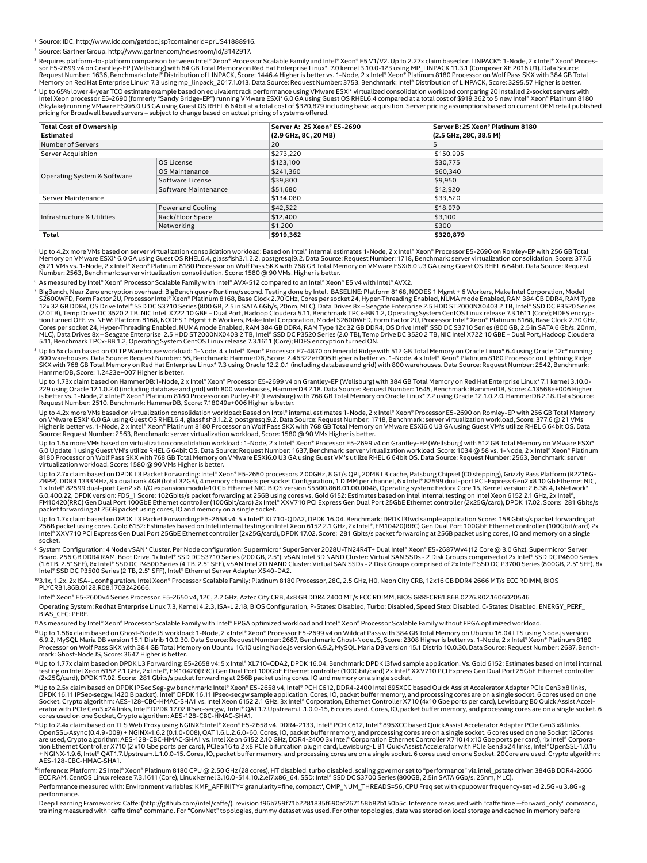<sup>1</sup> Source: IDC, http://www.idc.com/getdoc.jsp?containerId=prUS41888916.

<sup>2</sup> Source: Gartner Group, http://www.gartner.com/newsroom/id/3142917.

Processor Scalable Emily and htel<sup>®</sup> Xeon® Processor Scalable Family and Intel® Xeon® E5 V1/V2. Up to 2.27x claim based on LINPACK\*: 1-Node, 2 x Intel® Xeon® Processor Scalable Family and Intel® Xeon® E5 V1/V2. Up to 2.27x

" Up to 65% lower 4-year TCO estimate example based on equivalent rack performance using VMware ESXi\* virtualized consolidation workload comparing 20 installed 2-socket servers with<br>Intel Xeon processor E5-2690 (formerly pricing for Broadwell based servers – subject to change based on actual pricing of systems offered.

| <b>Total Cost of Ownership</b> |                      | Server A: 2S Xeon® E5-2690 | Server B: 2S Xeon® Platinum 8180 |
|--------------------------------|----------------------|----------------------------|----------------------------------|
| <b>Estimated</b>               |                      | (2.9 GHz, 8C, 20 MB)       | (2.5 GHz, 28C, 38.5 M)           |
| Number of Servers              |                      | 20                         | 5                                |
| Server Acquisition             |                      | \$273,220                  | \$150,995                        |
|                                | OS License           | \$123,100                  | \$30,775                         |
|                                | OS Maintenance       | \$241,360                  | \$60,340                         |
| Operating System & Software    | Software License     | \$39,800                   | \$9,950                          |
|                                | Software Maintenance | \$51,680                   | \$12,920                         |
| Server Maintenance             |                      | \$134,080                  | \$33,520                         |
| Infrastructure & Utilities     | Power and Cooling    | \$42,522                   | \$18,979                         |
|                                | Rack/Floor Space     | \$12,400                   | \$3,100                          |
|                                | Networking           | \$1,200                    | \$300                            |
| Total                          |                      | \$919,362                  | \$320,879                        |

<sup>s</sup> Up to 4.2x more VMs based on server virtualization consolidation workload: Based on Intel®internal estimates 1-Node, 2 x Intel® Xeon® Processor E5-2690 on Romley-EP with 256 GB Total<br>Memory on VMware ESXi\* 6.0 GA usi Number: 2563, Benchmark: server virtualization consolidation, Score: 1580 @ 90 VMs. Higher is better.

<sup>6</sup> As measured by Intel® Xeon® Processor Scalable Family with Intel® AVX-512 compared to an Intel® Xeon® E5 v4 with Intel® AVX2.

BigBench, Near Zero encryption overhead: BigBench query Runtime/second. Testing done by Intel. BASELINE: Platform 8168, NODES 1 Mgmt + 6 Workers, Make Intel Corporation, Model S266004 FB 3026000 FB 3026000 FB 3026000 FB 30 tion turned OFF. vs. NEW: Platform 8168, NODES 1 Mgmt + 6 Workers, Make Intel Corporation, Model S2600WFD, Form Factor 2U, Processor Intel® Xeon® Platinum 8168, Base Clock 2.70 GHz,<br>Cores per socket 24, Hyper-Threading Ena 5.11, Benchmark TPCx-BB 1.2, Operating System CentOS Linux release 7.3.1611 (Core); HDFS encryption turned ON.

® Up to 5x claim based on OLTP Warehouse workload: 1-Node, 4 x Intel® Xeon® Processor E7-4870 on Emerald Ridge with 512 GB Total Memory on Oracle Linux\* 6.4 using Oracle 12c\* running 800 warehouses. Data Source: Request Number: 56, Benchmark: HammerDB, Score: 2.46322e+006 Higher is better vs. 1-Node, 4 x Intel® Xeon® Platinum 8180 Processor on Lightning Ridge<br>SKX with 768 GB Total Memory on Red Hat Ent

Up to 1.73x claim based on HammerDB:1-Node, 2 x Intel® Xeon® Processor E5-2699 v4 on Grantley-EP (Wellsburg) with 384 GB Total Memory on Red Hat Enterprise Linux\* 7.1 kernel 3.10.0-<br>is better vs. 1-Node, 2 x Intel® Xeon® P

Up to 4.2x more VMs based on virtualization consolidation workload: Based on Intel®internal estimates 1-Node, 2 x Intel® Xeon® Processor E5-2690 on Romley-EP with 256 GB Total Memory<br>on VMware ESXi\* 6.0 GA using Guest OS R Source: Request Number: 2563, Benchmark: server virtualization workload, Score: 1580 @ 90 VMs Higher is better.

Up to 1.5x more VMs based on virtualization consolidation workload : 1-Node, 2 x Intel® Xeon® Processor E5-2699 v4 on Grantley-EP (Wellsburg) with 512 GB Total Memory on VMware ESXi\* 6.0 Update 1 using Guest VM's utilize RHEL 6 64bit OS. Data Source: Request Number: 1637, Benchmark: server virtualization workload, Score: 1034 @ 58 vs. 1-Node, 2 x Intel® Xeon® Platinum<br>8180 Processor on Wolf Pass SKX wi

Up to 2.7x claim based on DPDK L3 Packet Forwarding: Intel® Xeon® E5-2650 processors 2.00GHz, 8 GT/s QPI, 20MB L3 cache, Patsburg Chipset (C0 stepping), Grizzly Pass Platform (R2216G-<br>ZBPP), DDR3 1933MHz, 8 x dual rank 4GB

Up to 1.7x claim based on DPDK L3 Packet Forwarding: E5-2658 v4: 5 x Intel® XL710-QDA2, DPDK 16.04. Benchmark: DPDK l3fwd sample application Score: 158 Gbits/s packet forwarding at<br>256B packet using cores. Gold 6152: Esti socket.

° System Configuration: 4 Node vSAN\* Cluster. Per Node configuration: Supermicro\* SuperServer 2028U-TN24R4T+ Dual Intel® Xeon® E5-2687Wv4 (12 Core @ 3.0 Ghz), Supermicro\* Server<br>Board, 256 GB DDR4 RAM, Boot Drive, 1x Inte Intel® SSD DC P3500 Series (2 TB, 2.5" SFF), Intel® Ethernet Server Adapter X540-DA2.

<sup>10</sup>3.1x, 1.2x, 2x ISA-L configuration. Intel Xeon® Processor Scalable Family: Platinum 8180 Processor, 28C, 2.5 GHz, H0, Neon City CRB, 12x16 GB DDR4 2666 MT/s ECC RDIMM, BIOS PLYCRB1.86B.0128.R08.1703242666.

Intel® Xeon® E5-2600v4 Series Processor, E5-2650 v4, 12C, 2.2 GHz, Aztec City CRB, 4x8 GB DDR4 2400 MT/s ECC RDIMM, BIOS GRRFCRB1.86B.0276.R02.1606020546 Operating System: Redhat Enterprise Linux 7.3, Kernel 4.2.3, ISA-L 2.18, BIOS Configuration, P-States: Disabled, Turbo: Disabled, Speed Step: Disabled, C-States: Disabled, ENERGY\_PERF\_ BIAS CFG: PERF.

11As measured by Intel® Xeon® Processor Scalable Family with Intel® FPGA optimized workload and Intel® Xeon® Processor Scalable Family without FPGA optimized workload.

<sup>12</sup>Up to 1.58x claim based on Ghost-NodeJS workload: 1-Node, 2 x Intel® Xeon® Processor E5-2699 v4 on Wildcat Pass with 384 GB Total Memory on Ubuntu 16.04 LTS using Node.js version 6.9.2, MySQL Maria DB version 15.1 Distrib 10.0.30. Data Source: Request Number: 2687, Benchmark: Ghost-NodeJS, Score: 2308 Higher is better vs. 1-Node, 2 x Intel® Xeon® Platinum 8180 Processor on Wolf Pass SKX with 384 GB Total Memory on Ubuntu 16.10 using Node.js version 6.9.2, MySQL Maria DB version 15.1 Distrib 10.0.30. Data Source: Request Number: 2687, Benchmark: Ghost-NodeJS, Score: 3647 Higher is better.

™Up to 1.77x claim based on DPDK L3 Forwarding: E5-2658 v4: 5 x Intel® XL710-QDA2, DPDK 16.04. Benchmark: DPDK l3fwd sample application. Vs. Gold 6152: Estimates based on Intel internal<br>testing on Intel Xeon 6152 2.1 GHz,

<sup>14</sup>Up to 2.5x claim based on DPDK IPSec Seg-gw benchmark: Intel® Xeon® E5-2658 v4, Intel® PCH C612, DDR4-2400 Intel 895XCC based Quick Assist Accelerator Adapter PCIe Gen3 x8 links,<br>DPDK 16.11 IPSec-secgw,1420 B packet).

<sup>15</sup>Up to 2.4x claim based on TLS Web Proxy using NGINX®: Intel® Xeon® E5-2658 v4, DDR4-2133, Intel® PCH C612, Intel® 895XCC based QuickAssist Accelerator Adapter PCIe Gen3 x8 links, OpenSSL-Async (0.4.9-009) + NGINX-1.6.2 (0.1.0-008), QAT1.6.L.2.6.0-60. Cores, IO, packet buffer memory, and processing cores are on a single socket. 6 cores used on one Socket 12Cores<br>are used, Crypto algorithm: AES-128-C AES-128-CBC-HMAC-SHA1.

<sup>16</sup>Inference: Platform: 2S Intel® Xeon® Platinum 8180 CPU @ 2.50 GHz (28 cores), HT disabled, turbo disabled, scaling governor set to "performance" via intel\_pstate driver, 384GB DDR4-2666<br>ECC RAM. CentOS Linux release 7.

Performance measured with: Environment variables: KMP\_AFFINITY='granularity=fine, compact', OMP\_NUM\_THREADS=56, CPU Freq set with cpupower frequency-set -d 2.5G -u 3.8G -g performance.

Deep Learning Frameworks: Caffe: (http://github.com/intel/caffe/), revision f96b759f71b2281835f690af267158b82b150b5c. Inference measured with "caffe time --forward\_only" command, training measured with "caffe time" command. For "ConvNet" topologies, dummy dataset was used. For other topologies, data was stored on local storage and cached in memory before